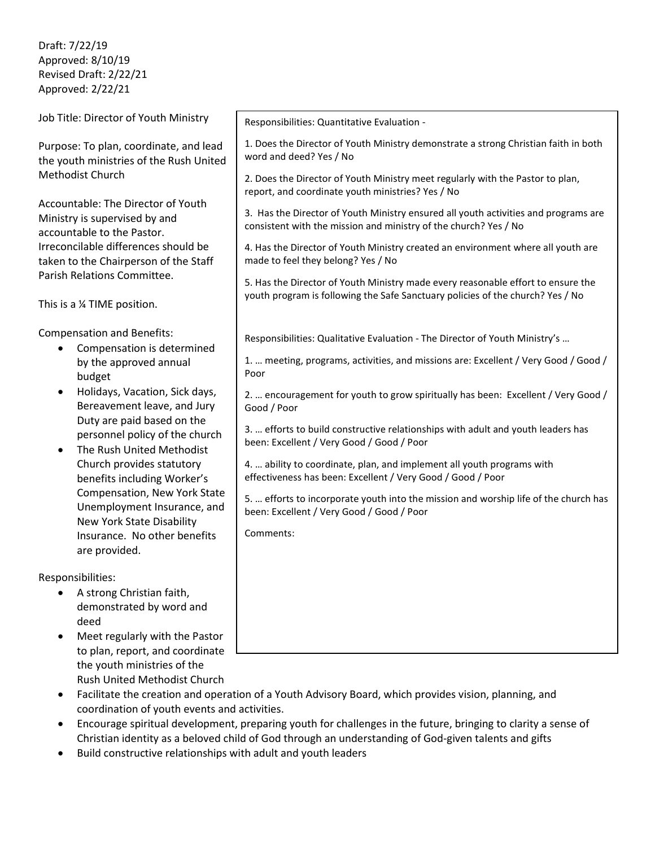Draft: 7/22/19 Approved: 8/10/19 Revised Draft: 2/22/21 Approved: 2/22/21

Job Title: Director of Youth Ministry

Purpose: To plan, coordinate, and lead the youth ministries of the Rush United Methodist Church

Accountable: The Director of Youth Ministry is supervised by and accountable to the Pastor. Irreconcilable differences should be taken to the Chairperson of the Staff Parish Relations Committee.

This is a ¼ TIME position.

Compensation and Benefits:

- Compensation is determined by the approved annual budget
- Holidays, Vacation, Sick days, Bereavement leave, and Jury Duty are paid based on the personnel policy of the church
- The Rush United Methodist Church provides statutory benefits including Worker's Compensation, New York State Unemployment Insurance, and New York State Disability Insurance. No other benefits are provided.

Responsibilities:

- A strong Christian faith, demonstrated by word and deed
- Meet regularly with the Pastor to plan, report, and coordinate the youth ministries of the Rush United Methodist Church

Responsibilities: Quantitative Evaluation -

1. Does the Director of Youth Ministry demonstrate a strong Christian faith in both word and deed? Yes / No

2. Does the Director of Youth Ministry meet regularly with the Pastor to plan, report, and coordinate youth ministries? Yes / No

3. Has the Director of Youth Ministry ensured all youth activities and programs are consistent with the mission and ministry of the church? Yes / No

4. Has the Director of Youth Ministry created an environment where all youth are made to feel they belong? Yes / No

5. Has the Director of Youth Ministry made every reasonable effort to ensure the youth program is following the Safe Sanctuary policies of the church? Yes / No

Responsibilities: Qualitative Evaluation - The Director of Youth Ministry's …

1. … meeting, programs, activities, and missions are: Excellent / Very Good / Good / Poor

2. … encouragement for youth to grow spiritually has been: Excellent / Very Good / Good / Poor

3. … efforts to build constructive relationships with adult and youth leaders has been: Excellent / Very Good / Good / Poor

4. … ability to coordinate, plan, and implement all youth programs with effectiveness has been: Excellent / Very Good / Good / Poor

5. … efforts to incorporate youth into the mission and worship life of the church has been: Excellent / Very Good / Good / Poor

Comments:

- Facilitate the creation and operation of a Youth Advisory Board, which provides vision, planning, and coordination of youth events and activities.
- Encourage spiritual development, preparing youth for challenges in the future, bringing to clarity a sense of Christian identity as a beloved child of God through an understanding of God-given talents and gifts
- Build constructive relationships with adult and youth leaders